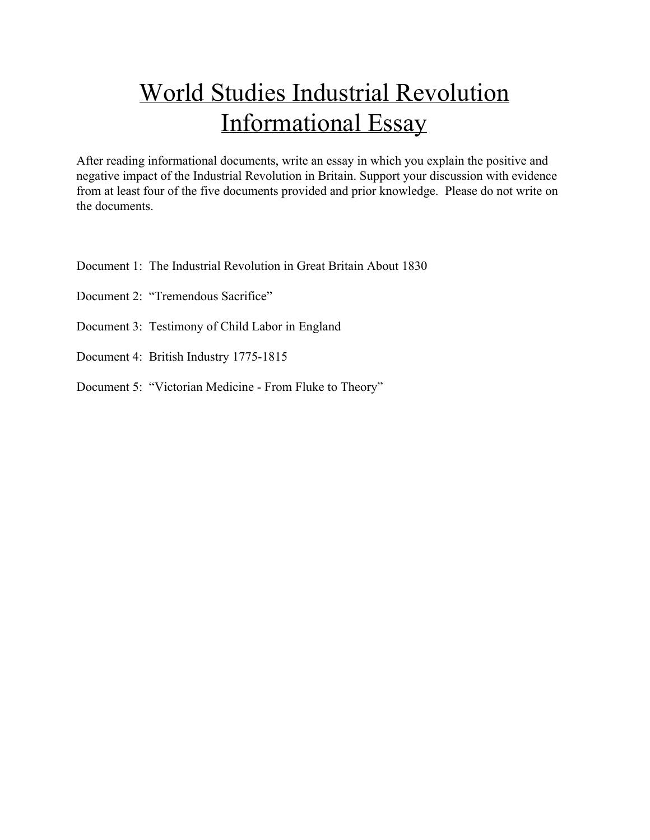# World Studies Industrial Revolution Informational Essay

After reading informational documents, write an essay in which you explain the positive and negative impact of the Industrial Revolution in Britain. Support your discussion with evidence from at least four of the five documents provided and prior knowledge. Please do not write on the documents.

- Document 1: The Industrial Revolution in Great Britain About 1830
- Document 2: "Tremendous Sacrifice"
- Document 3: Testimony of Child Labor in England
- Document 4: British Industry 1775-1815
- Document 5: "Victorian Medicine From Fluke to Theory"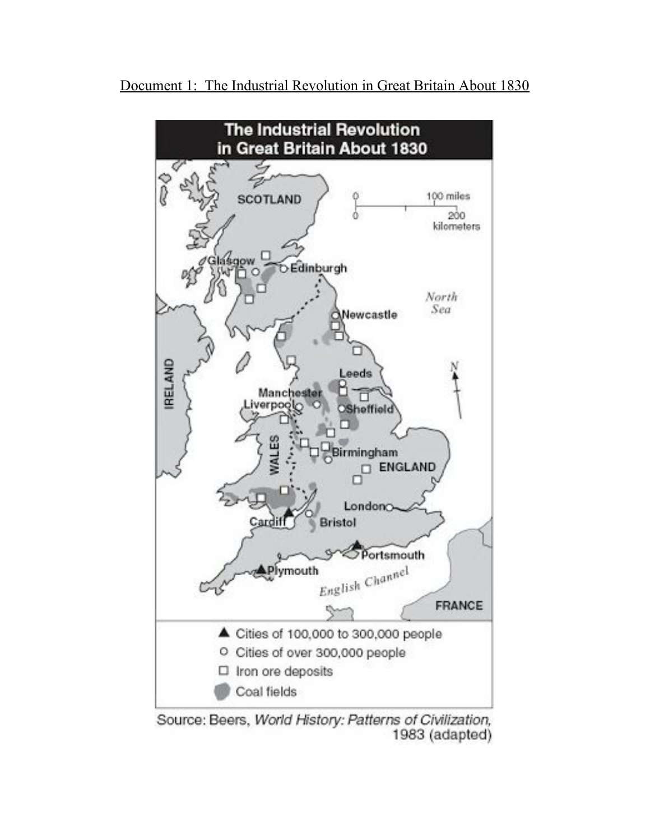



Source: Beers, World History: Patterns of Civilization, 1983 (adapted)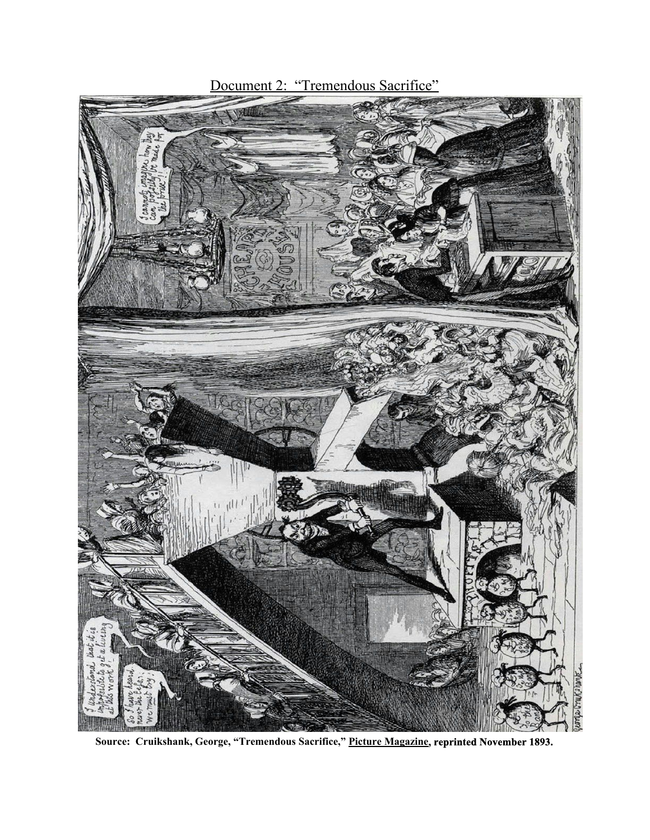

**Source: Cruikshank, George, "Tremendous Sacrifice," Picture Magazine, reprinted November 1893.**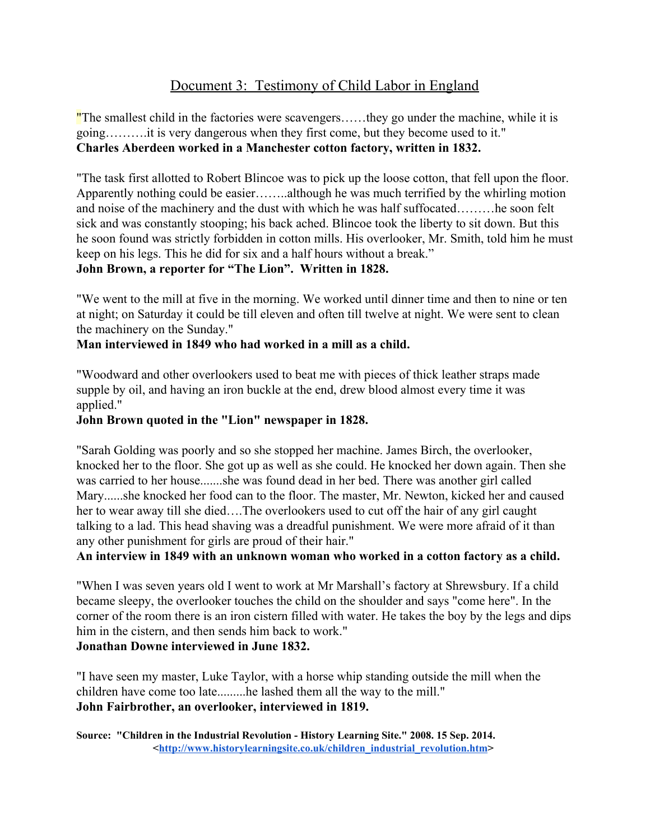## Document 3: Testimony of Child Labor in England

"The smallest child in the factories were scavengers.....they go under the machine, while it is going……….it is very dangerous when they first come, but they become used to it." **Charles Aberdeen worked in a Manchester cotton factory, written in 1832.**

"The task first allotted to Robert Blincoe was to pick up the loose cotton, that fell upon the floor. Apparently nothing could be easier……..although he was much terrified by the whirling motion and noise of the machinery and the dust with which he was half suffocated………he soon felt sick and was constantly stooping; his back ached. Blincoe took the liberty to sit down. But this he soon found was strictly forbidden in cotton mills. His overlooker, Mr. Smith, told him he must keep on his legs. This he did for six and a half hours without a break."

**John Brown, a reporter for "The Lion". Written in 1828.**

"We went to the mill at five in the morning. We worked until dinner time and then to nine or ten at night; on Saturday it could be till eleven and often till twelve at night. We were sent to clean the machinery on the Sunday."

#### **Man interviewed in 1849 who had worked in a mill as a child.**

"Woodward and other overlookers used to beat me with pieces of thick leather straps made supple by oil, and having an iron buckle at the end, drew blood almost every time it was applied."

#### **John Brown quoted in the "Lion" newspaper in 1828.**

"Sarah Golding was poorly and so she stopped her machine. James Birch, the overlooker, knocked her to the floor. She got up as well as she could. He knocked her down again. Then she was carried to her house.......she was found dead in her bed. There was another girl called Mary......she knocked her food can to the floor. The master, Mr. Newton, kicked her and caused her to wear away till she died….The overlookers used to cut off the hair of any girl caught talking to a lad. This head shaving was a dreadful punishment. We were more afraid of it than any other punishment for girls are proud of their hair."

#### **An interview in 1849 with an unknown woman who worked in a cotton factory as a child.**

"When I was seven years old I went to work at Mr Marshall's factory at Shrewsbury. If a child became sleepy, the overlooker touches the child on the shoulder and says "come here". In the corner of the room there is an iron cistern filled with water. He takes the boy by the legs and dips him in the cistern, and then sends him back to work."

#### **Jonathan Downe interviewed in June 1832.**

"I have seen my master, Luke Taylor, with a horse whip standing outside the mill when the children have come too late.........he lashed them all the way to the mill." **John Fairbrother, an overlooker, interviewed in 1819.**

**Source: "Children in the Industrial Revolution History Learning Site." 2008. 15 Sep. 2014. <[http://www.historylearningsite.co.uk/children\\_industrial\\_revolution.htm](http://www.historylearningsite.co.uk/children_industrial_revolution.htm)>**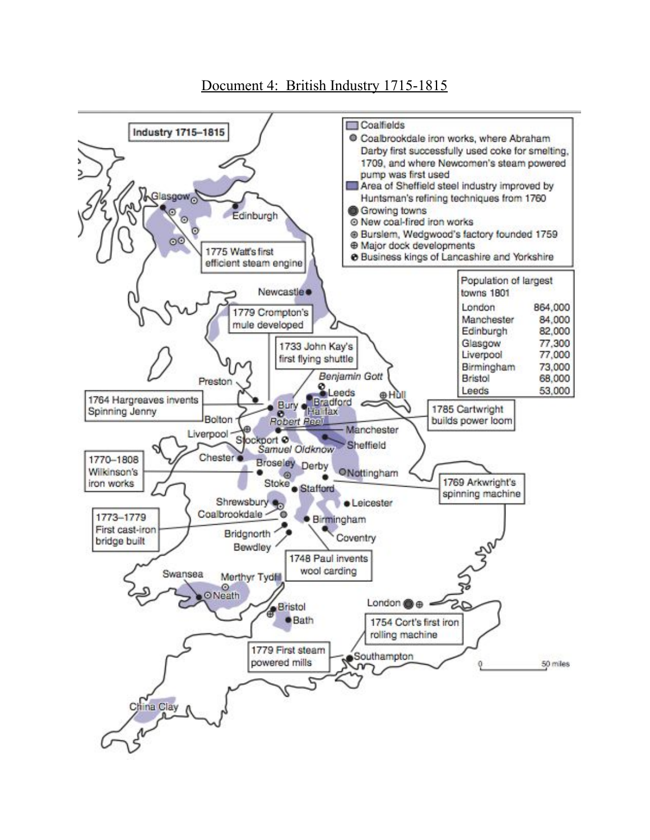